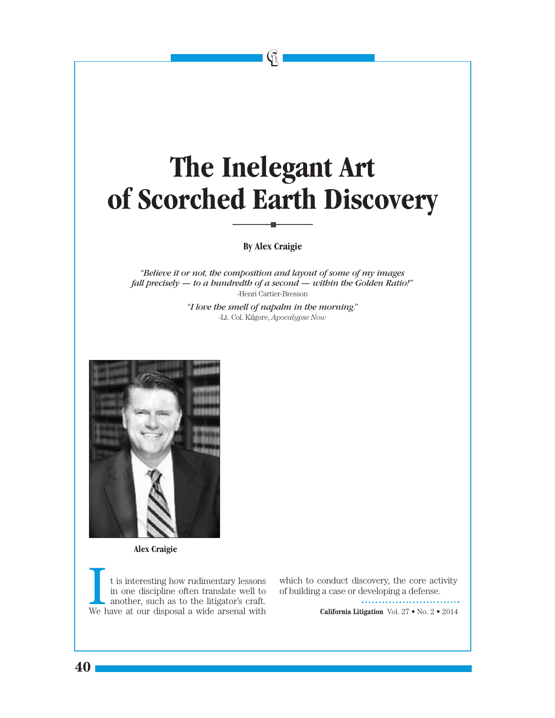## **The Inelegant Art of Scorched Earth Discovery**

 $\mathfrak{g}$ 

## **By Alex Craigie**

*"Believe it or not, the composition and layout of some of my images fall precisely — to a hundredth of a second — within the Golden Ratio!"* -Henri Cartier-Bresson

> *"I love the smell of napalm in the morning."* -Lt. Col. Kilgore, *Apocalypse Now*



**Alex Craigie**

**40**

t is interesting how rudimentary lessons in one discipline often translate well to another, such as to the litigator's craft. We have at our disposal a wide arsenal with

which to conduct discovery, the core activity of building a case or developing a defense.

**California Litigation** Vol. 27 • No. 2 • 2014

............................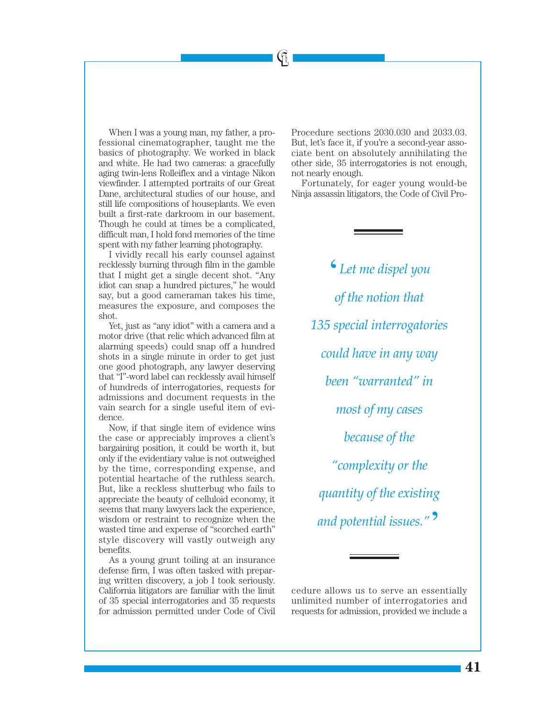When I was a young man, my father, a professional cinematographer, taught me the basics of photography. We worked in black and white. He had two cameras: a gracefully aging twin-lens Rolleiflex and a vintage Nikon viewfinder. I attempted portraits of our Great Dane, architectural studies of our house, and still life compositions of houseplants. We even built a first-rate darkroom in our basement. Though he could at times be a complicated, difficult man, I hold fond memories of the time spent with my father learning photography.

I vividly recall his early counsel against recklessly burning through film in the gamble that I might get a single decent shot. "Any idiot can snap a hundred pictures," he would say, but a good cameraman takes his time, measures the exposure, and composes the shot.

Yet, just as "any idiot" with a camera and a motor drive (that relic which advanced film at alarming speeds) could snap off a hundred shots in a single minute in order to get just one good photograph, any lawyer deserving that "I"-word label can recklessly avail himself of hundreds of interrogatories, requests for admissions and document requests in the vain search for a single useful item of evidence.

Now, if that single item of evidence wins the case or appreciably improves a client's bargaining position, it could be worth it, but only if the evidentiary value is not outweighed by the time, corresponding expense, and potential heartache of the ruthless search. But, like a reckless shutterbug who fails to appreciate the beauty of celluloid economy, it seems that many lawyers lack the experience, wisdom or restraint to recognize when the wasted time and expense of "scorched earth" style discovery will vastly outweigh any benefits.

As a young grunt toiling at an insurance defense firm, I was often tasked with preparing written discovery, a job I took seriously. California litigators are familiar with the limit of 35 special interrogatories and 35 requests for admission permitted under Code of Civil

Procedure sections 2030.030 and 2033.03. But, let's face it, if you're a second-year associate bent on absolutely annihilating the other side, 35 interrogatories is not enough, not nearly enough.

 $\bigcirc$ 

Fortunately, for eager young would-be Ninja assassin litigators, the Code of Civil Pro-

> '*Let me dispel you of the notion that 135 special interrogatories could have in any way been "warranted" in most of my cases because of the "complexity or the quantity of the existing and potential issues."* '

cedure allows us to serve an essentially unlimited number of interrogatories and requests for admission, provided we include a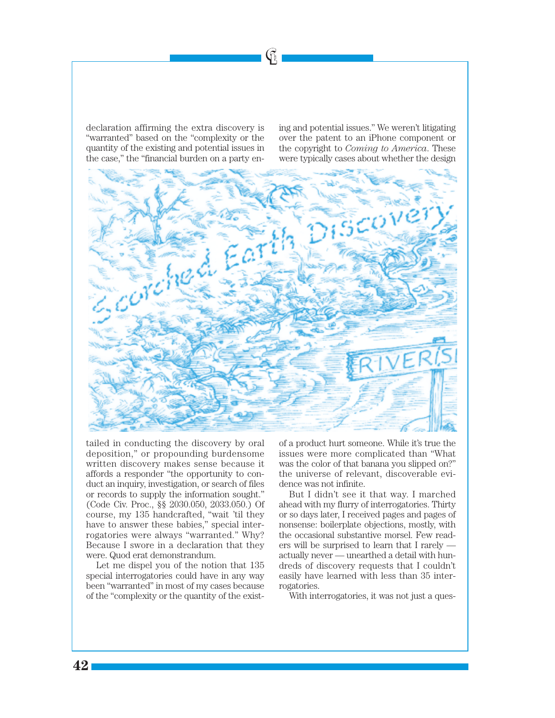declaration affirming the extra discovery is "warranted" based on the "complexity or the quantity of the existing and potential issues in the case," the "financial burden on a party ening and potential issues." We weren't litigating over the patent to an iPhone component or the copyright to *Coming to America*. These were typically cases about whether the design



 $\mathfrak{G}% _{k}^{\alpha}:=\mathfrak{G}_{k}^{\alpha}$ 

tailed in conducting the discovery by oral deposition," or propounding burdensome written discovery makes sense because it affords a responder "the opportunity to conduct an inquiry, investigation, or search of files or records to supply the information sought." (Code Civ. Proc., §§ 2030.050, 2033.050.) Of course, my 135 handcrafted, "wait 'til they have to answer these babies," special interrogatories were always "warranted." Why? Because I swore in a declaration that they were. Quod erat demonstrandum.

Let me dispel you of the notion that 135 special interrogatories could have in any way been "warranted" in most of my cases because of the "complexity or the quantity of the exist-

of a product hurt someone. While it's true the issues were more complicated than "What was the color of that banana you slipped on?" the universe of relevant, discoverable evidence was not infinite.

But I didn't see it that way. I marched ahead with my flurry of interrogatories. Thirty or so days later, I received pages and pages of nonsense: boilerplate objections, mostly, with the occasional substantive morsel. Few readers will be surprised to learn that I rarely actually never — unearthed a detail with hundreds of discovery requests that I couldn't easily have learned with less than 35 interrogatories.

With interrogatories, it was not just a ques-